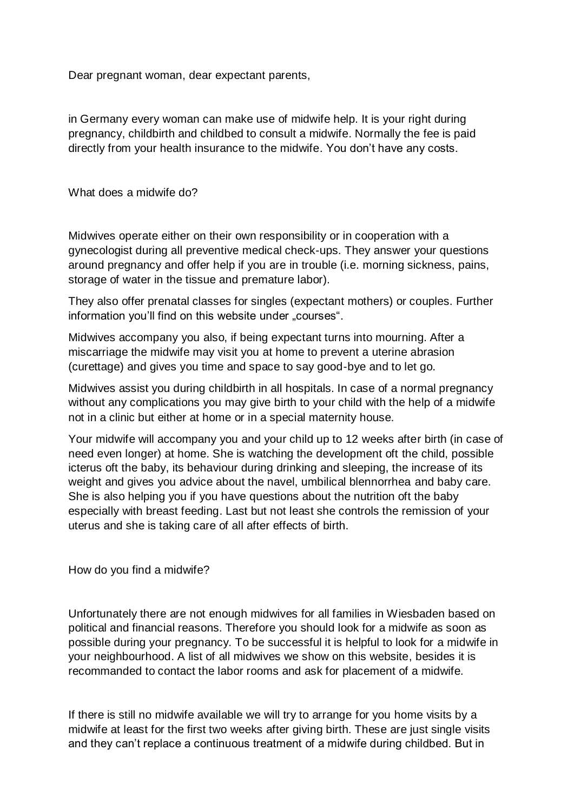Dear pregnant woman, dear expectant parents,

in Germany every woman can make use of midwife help. It is your right during pregnancy, childbirth and childbed to consult a midwife. Normally the fee is paid directly from your health insurance to the midwife. You don't have any costs.

What does a midwife do?

Midwives operate either on their own responsibility or in cooperation with a gynecologist during all preventive medical check-ups. They answer your questions around pregnancy and offer help if you are in trouble (i.e. morning sickness, pains, storage of water in the tissue and premature labor).

They also offer prenatal classes for singles (expectant mothers) or couples. Further information you'll find on this website under "courses".

Midwives accompany you also, if being expectant turns into mourning. After a miscarriage the midwife may visit you at home to prevent a uterine abrasion (curettage) and gives you time and space to say good-bye and to let go.

Midwives assist you during childbirth in all hospitals. In case of a normal pregnancy without any complications you may give birth to your child with the help of a midwife not in a clinic but either at home or in a special maternity house.

Your midwife will accompany you and your child up to 12 weeks after birth (in case of need even longer) at home. She is watching the development oft the child, possible icterus oft the baby, its behaviour during drinking and sleeping, the increase of its weight and gives you advice about the navel, umbilical blennorrhea and baby care. She is also helping you if you have questions about the nutrition oft the baby especially with breast feeding. Last but not least she controls the remission of your uterus and she is taking care of all after effects of birth.

How do you find a midwife?

Unfortunately there are not enough midwives for all families in Wiesbaden based on political and financial reasons. Therefore you should look for a midwife as soon as possible during your pregnancy. To be successful it is helpful to look for a midwife in your neighbourhood. A list of all midwives we show on this website, besides it is recommanded to contact the labor rooms and ask for placement of a midwife.

If there is still no midwife available we will try to arrange for you home visits by a midwife at least for the first two weeks after giving birth. These are just single visits and they can't replace a continuous treatment of a midwife during childbed. But in